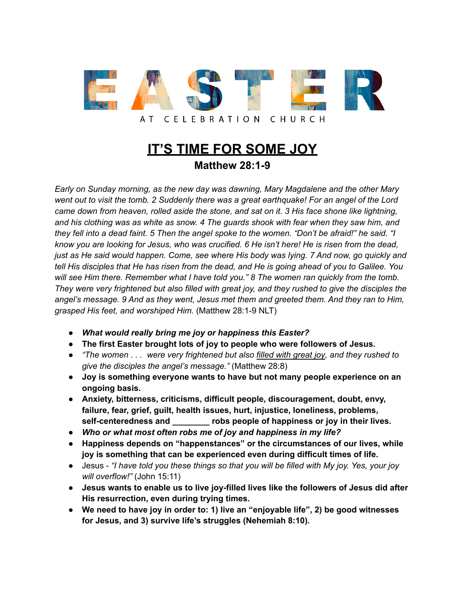

**IT'S TIME FOR SOME JOY Matthew 28:1-9**

*Early on Sunday morning, as the new day was dawning, Mary Magdalene and the other Mary* went out to visit the tomb. 2 Suddenly there was a great earthquake! For an angel of the Lord *came down from heaven, rolled aside the stone, and sat on it. 3 His face shone like lightning, and his clothing was as white as snow. 4 The guards shook with fear when they saw him, and* they fell into a dead faint. 5 Then the angel spoke to the women. "Don't be afraid!" he said. "I know you are looking for Jesus, who was crucified. 6 He isn't here! He is risen from the dead, *just as He said would happen. Come, see where His body was lying. 7 And now, go quickly and* tell His disciples that He has risen from the dead, and He is going ahead of you to Galilee. You *will see Him there. Remember what I have told you." 8 The women ran quickly from the tomb.* They were very frightened but also filled with great joy, and they rushed to give the disciples the *angel's message. 9 And as they went, Jesus met them and greeted them. And they ran to Him, grasped His feet, and worshiped Him.* (Matthew 28:1-9 NLT)

- *● What would really bring me joy or happiness this Easter?*
- **● The first Easter brought lots of joy to people who were followers of Jesus.**
- **●** *"The women . . . were very frightened but also filled with great joy, and they rushed to give the disciples the angel's message."* (Matthew 28:8)
- **● Joy is something everyone wants to have but not many people experience on an ongoing basis.**
- **● Anxiety, bitterness, criticisms, difficult people, discouragement, doubt, envy, failure, fear, grief, guilt, health issues, hurt, injustice, loneliness, problems, self-centeredness and \_\_\_\_\_\_\_\_ robs people of happiness or joy in their lives.**
- *● Who or what most often robs me of joy and happiness in my life?*
- **● Happiness depends on "happenstances" or the circumstances of our lives, while joy is something that can be experienced even during difficult times of life.**
- Jesus *"I have told you these things so that you will be filled with My joy. Yes, your joy will overflow!"* (John 15:11)
- **● Jesus wants to enable us to live joy-filled lives like the followers of Jesus did after His resurrection, even during trying times.**
- **● We need to have joy in order to: 1) live an "enjoyable life", 2) be good witnesses for Jesus, and 3) survive life's struggles (Nehemiah 8:10).**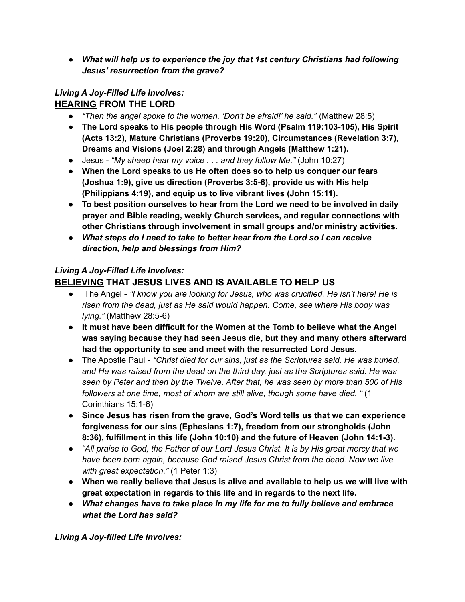*● What will help us to experience the joy that 1st century Christians had following Jesus' resurrection from the grave?*

# *Living A Joy-Filled Life Involves:*

# **HEARING FROM THE LORD**

- **●** *"Then the angel spoke to the women. 'Don't be afraid!' he said."* (Matthew 28:5)
- **● The Lord speaks to His people through His Word (Psalm 119:103-105), His Spirit (Acts 13:2), Mature Christians (Proverbs 19:20), Circumstances (Revelation 3:7), Dreams and Visions (Joel 2:28) and through Angels (Matthew 1:21).**
- **●** Jesus *"My sheep hear my voice . . . and they follow Me."* (John 10:27)
- **● When the Lord speaks to us He often does so to help us conquer our fears (Joshua 1:9), give us direction (Proverbs 3:5-6), provide us with His help (Philippians 4:19), and equip us to live vibrant lives (John 15:11).**
- **● To best position ourselves to hear from the Lord we need to be involved in daily prayer and Bible reading, weekly Church services, and regular connections with other Christians through involvement in small groups and/or ministry activities.**
- **●** *What steps do I need to take to better hear from the Lord so I can receive direction, help and blessings from Him?*

#### *Living A Joy-Filled Life Involves:* **BELIEVING THAT JESUS LIVES AND IS AVAILABLE TO HELP US**

- **●** The Angel *"I know you are looking for Jesus, who was crucified. He isn't here! He is risen from the dead, just as He said would happen. Come, see where His body was lying."* (Matthew 28:5-6)
- **● It must have been difficult for the Women at the Tomb to believe what the Angel was saying because they had seen Jesus die, but they and many others afterward had the opportunity to see and meet with the resurrected Lord Jesus.**
- *●* The Apostle Paul *"Christ died for our sins, just as the Scriptures said. He was buried, and He was raised from the dead on the third day, just as the Scriptures said. He was seen by Peter and then by the Twelve. After that, he was seen by more than 500 of His followers at one time, most of whom are still alive, though some have died. "* (1 Corinthians 15:1-6)
- **● Since Jesus has risen from the grave, God's Word tells us that we can experience forgiveness for our sins (Ephesians 1:7), freedom from our strongholds (John 8:36), fulfillment in this life (John 10:10) and the future of Heaven (John 14:1-3).**
- "All praise to God, the Father of our Lord Jesus Christ. It is by His great mercy that we *have been born again, because God raised Jesus Christ from the dead. Now we live with great expectation."* (1 Peter 1:3)
- **● When we really believe that Jesus is alive and available to help us we will live with great expectation in regards to this life and in regards to the next life.**
- *● What changes have to take place in my life for me to fully believe and embrace what the Lord has said?*

*Living A Joy-filled Life Involves:*